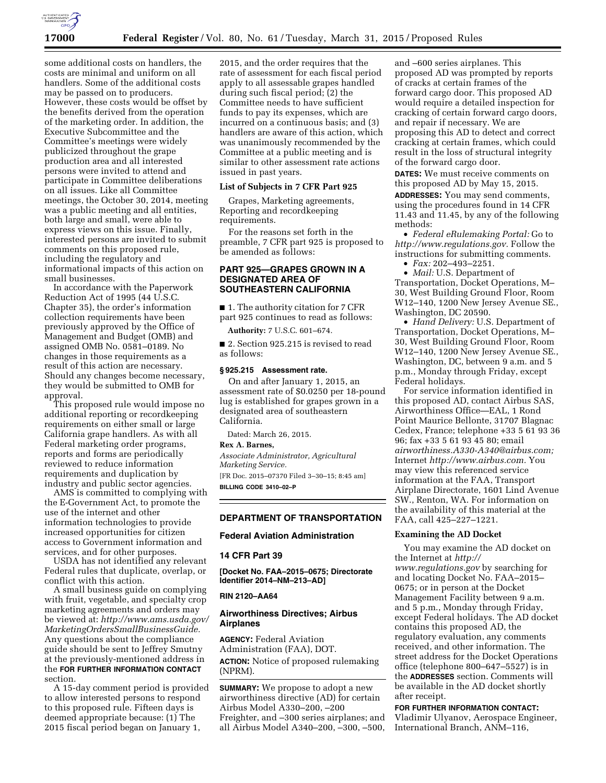

some additional costs on handlers, the costs are minimal and uniform on all handlers. Some of the additional costs may be passed on to producers. However, these costs would be offset by the benefits derived from the operation of the marketing order. In addition, the Executive Subcommittee and the Committee's meetings were widely publicized throughout the grape production area and all interested persons were invited to attend and participate in Committee deliberations on all issues. Like all Committee meetings, the October 30, 2014, meeting was a public meeting and all entities, both large and small, were able to express views on this issue. Finally, interested persons are invited to submit comments on this proposed rule, including the regulatory and informational impacts of this action on small businesses.

In accordance with the Paperwork Reduction Act of 1995 (44 U.S.C. Chapter 35), the order's information collection requirements have been previously approved by the Office of Management and Budget (OMB) and assigned OMB No. 0581–0189. No changes in those requirements as a result of this action are necessary. Should any changes become necessary, they would be submitted to OMB for approval.

This proposed rule would impose no additional reporting or recordkeeping requirements on either small or large California grape handlers. As with all Federal marketing order programs, reports and forms are periodically reviewed to reduce information requirements and duplication by industry and public sector agencies.

AMS is committed to complying with the E-Government Act, to promote the use of the internet and other information technologies to provide increased opportunities for citizen access to Government information and services, and for other purposes.

USDA has not identified any relevant Federal rules that duplicate, overlap, or conflict with this action.

A small business guide on complying with fruit, vegetable, and specialty crop marketing agreements and orders may be viewed at: *[http://www.ams.usda.gov/](http://www.ams.usda.gov/MarketingOrdersSmallBusinessGuide) [MarketingOrdersSmallBusinessGuide.](http://www.ams.usda.gov/MarketingOrdersSmallBusinessGuide)*  Any questions about the compliance guide should be sent to Jeffrey Smutny at the previously-mentioned address in the **FOR FURTHER INFORMATION CONTACT** section.

A 15-day comment period is provided to allow interested persons to respond to this proposed rule. Fifteen days is deemed appropriate because: (1) The 2015 fiscal period began on January 1,

2015, and the order requires that the rate of assessment for each fiscal period apply to all assessable grapes handled during such fiscal period; (2) the Committee needs to have sufficient funds to pay its expenses, which are incurred on a continuous basis; and (3) handlers are aware of this action, which was unanimously recommended by the Committee at a public meeting and is similar to other assessment rate actions issued in past years.

#### **List of Subjects in 7 CFR Part 925**

Grapes, Marketing agreements, Reporting and recordkeeping requirements.

For the reasons set forth in the preamble, 7 CFR part 925 is proposed to be amended as follows:

# **PART 925—GRAPES GROWN IN A DESIGNATED AREA OF SOUTHEASTERN CALIFORNIA**

■ 1. The authority citation for 7 CFR part 925 continues to read as follows:

**Authority:** 7 U.S.C. 601–674.

■ 2. Section 925.215 is revised to read as follows:

## **§ 925.215 Assessment rate.**

On and after January 1, 2015, an assessment rate of \$0.0250 per 18-pound lug is established for grapes grown in a designated area of southeastern California.

Dated: March 26, 2015.

#### **Rex A. Barnes,**

*Associate Administrator, Agricultural Marketing Service.* 

[FR Doc. 2015–07370 Filed 3–30–15; 8:45 am] **BILLING CODE 3410–02–P** 

## **DEPARTMENT OF TRANSPORTATION**

### **Federal Aviation Administration**

### **14 CFR Part 39**

**[Docket No. FAA–2015–0675; Directorate Identifier 2014–NM–213–AD]** 

# **RIN 2120–AA64**

# **Airworthiness Directives; Airbus Airplanes**

**AGENCY:** Federal Aviation Administration (FAA), DOT. **ACTION:** Notice of proposed rulemaking (NPRM).

**SUMMARY:** We propose to adopt a new airworthiness directive (AD) for certain Airbus Model A330–200, –200 Freighter, and –300 series airplanes; and all Airbus Model A340–200, –300, –500,

and –600 series airplanes. This proposed AD was prompted by reports of cracks at certain frames of the forward cargo door. This proposed AD would require a detailed inspection for cracking of certain forward cargo doors, and repair if necessary. We are proposing this AD to detect and correct cracking at certain frames, which could result in the loss of structural integrity of the forward cargo door.

**DATES:** We must receive comments on this proposed AD by May 15, 2015.

**ADDRESSES:** You may send comments, using the procedures found in 14 CFR 11.43 and 11.45, by any of the following methods:

• *Federal eRulemaking Portal:* Go to *[http://www.regulations.gov.](http://www.regulations.gov)* Follow the instructions for submitting comments.

• *Fax:* 202–493–2251.

• *Mail:* U.S. Department of Transportation, Docket Operations, M– 30, West Building Ground Floor, Room W12–140, 1200 New Jersey Avenue SE., Washington, DC 20590.

• *Hand Delivery:* U.S. Department of Transportation, Docket Operations, M– 30, West Building Ground Floor, Room W12–140, 1200 New Jersey Avenue SE., Washington, DC, between 9 a.m. and 5 p.m., Monday through Friday, except Federal holidays.

For service information identified in this proposed AD, contact Airbus SAS, Airworthiness Office—EAL, 1 Rond Point Maurice Bellonte, 31707 Blagnac Cedex, France; telephone +33 5 61 93 36 96; fax +33 5 61 93 45 80; email *[airworthiness.A330-A340@airbus.com;](mailto:airworthiness.A330-A340@airbus.com)*  Internet *[http://www.airbus.com.](http://www.airbus.com)* You may view this referenced service information at the FAA, Transport Airplane Directorate, 1601 Lind Avenue SW., Renton, WA. For information on the availability of this material at the FAA, call 425–227–1221.

# **Examining the AD Docket**

You may examine the AD docket on the Internet at *[http://](http://www.regulations.gov) [www.regulations.gov](http://www.regulations.gov)* by searching for and locating Docket No. FAA–2015– 0675; or in person at the Docket Management Facility between 9 a.m. and 5 p.m., Monday through Friday, except Federal holidays. The AD docket contains this proposed AD, the regulatory evaluation, any comments received, and other information. The street address for the Docket Operations office (telephone 800–647–5527) is in the **ADDRESSES** section. Comments will be available in the AD docket shortly after receipt.

**FOR FURTHER INFORMATION CONTACT:**  Vladimir Ulyanov, Aerospace Engineer, International Branch, ANM–116,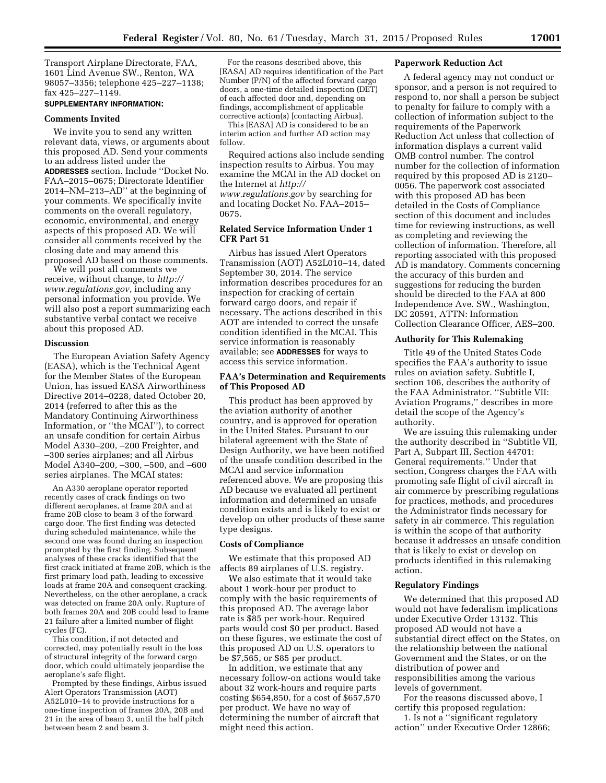Transport Airplane Directorate, FAA, 1601 Lind Avenue SW., Renton, WA 98057–3356; telephone 425–227–1138; fax 425–227–1149.

# **SUPPLEMENTARY INFORMATION:**

### **Comments Invited**

We invite you to send any written relevant data, views, or arguments about this proposed AD. Send your comments to an address listed under the **ADDRESSES** section. Include ''Docket No. FAA–2015–0675; Directorate Identifier 2014–NM–213–AD'' at the beginning of your comments. We specifically invite comments on the overall regulatory, economic, environmental, and energy aspects of this proposed AD. We will consider all comments received by the closing date and may amend this proposed AD based on those comments.

We will post all comments we receive, without change, to *[http://](http://www.regulations.gov) [www.regulations.gov,](http://www.regulations.gov)* including any personal information you provide. We will also post a report summarizing each substantive verbal contact we receive about this proposed AD.

### **Discussion**

The European Aviation Safety Agency (EASA), which is the Technical Agent for the Member States of the European Union, has issued EASA Airworthiness Directive 2014–0228, dated October 20, 2014 (referred to after this as the Mandatory Continuing Airworthiness Information, or ''the MCAI''), to correct an unsafe condition for certain Airbus Model A330–200, –200 Freighter, and –300 series airplanes; and all Airbus Model A340–200, –300, –500, and –600 series airplanes. The MCAI states:

An A330 aeroplane operator reported recently cases of crack findings on two different aeroplanes, at frame 20A and at frame 20B close to beam 3 of the forward cargo door. The first finding was detected during scheduled maintenance, while the second one was found during an inspection prompted by the first finding. Subsequent analyses of these cracks identified that the first crack initiated at frame 20B, which is the first primary load path, leading to excessive loads at frame 20A and consequent cracking. Nevertheless, on the other aeroplane, a crack was detected on frame 20A only. Rupture of both frames 20A and 20B could lead to frame 21 failure after a limited number of flight cycles (FC).

This condition, if not detected and corrected, may potentially result in the loss of structural integrity of the forward cargo door, which could ultimately jeopardise the aeroplane's safe flight.

Prompted by these findings, Airbus issued Alert Operators Transmission (AOT) A52L010–14 to provide instructions for a one-time inspection of frames 20A, 20B and 21 in the area of beam 3, until the half pitch between beam 2 and beam 3.

For the reasons described above, this [EASA] AD requires identification of the Part Number (P/N) of the affected forward cargo doors, a one-time detailed inspection (DET) of each affected door and, depending on findings, accomplishment of applicable corrective action(s) [contacting Airbus].

This [EASA] AD is considered to be an interim action and further AD action may follow.

Required actions also include sending inspection results to Airbus. You may examine the MCAI in the AD docket on the Internet at *[http://](http://www.regulations.gov) [www.regulations.gov](http://www.regulations.gov)* by searching for and locating Docket No. FAA–2015– 0675.

# **Related Service Information Under 1 CFR Part 51**

Airbus has issued Alert Operators Transmission (AOT) A52L010–14, dated September 30, 2014. The service information describes procedures for an inspection for cracking of certain forward cargo doors, and repair if necessary. The actions described in this AOT are intended to correct the unsafe condition identified in the MCAI. This service information is reasonably available; see **ADDRESSES** for ways to access this service information.

### **FAA's Determination and Requirements of This Proposed AD**

This product has been approved by the aviation authority of another country, and is approved for operation in the United States. Pursuant to our bilateral agreement with the State of Design Authority, we have been notified of the unsafe condition described in the MCAI and service information referenced above. We are proposing this AD because we evaluated all pertinent information and determined an unsafe condition exists and is likely to exist or develop on other products of these same type designs.

### **Costs of Compliance**

We estimate that this proposed AD affects 89 airplanes of U.S. registry.

We also estimate that it would take about 1 work-hour per product to comply with the basic requirements of this proposed AD. The average labor rate is \$85 per work-hour. Required parts would cost \$0 per product. Based on these figures, we estimate the cost of this proposed AD on U.S. operators to be \$7,565, or \$85 per product.

In addition, we estimate that any necessary follow-on actions would take about 32 work-hours and require parts costing \$654,850, for a cost of \$657,570 per product. We have no way of determining the number of aircraft that might need this action.

### **Paperwork Reduction Act**

A federal agency may not conduct or sponsor, and a person is not required to respond to, nor shall a person be subject to penalty for failure to comply with a collection of information subject to the requirements of the Paperwork Reduction Act unless that collection of information displays a current valid OMB control number. The control number for the collection of information required by this proposed AD is 2120– 0056. The paperwork cost associated with this proposed AD has been detailed in the Costs of Compliance section of this document and includes time for reviewing instructions, as well as completing and reviewing the collection of information. Therefore, all reporting associated with this proposed AD is mandatory. Comments concerning the accuracy of this burden and suggestions for reducing the burden should be directed to the FAA at 800 Independence Ave. SW., Washington, DC 20591, ATTN: Information Collection Clearance Officer, AES–200.

# **Authority for This Rulemaking**

Title 49 of the United States Code specifies the FAA's authority to issue rules on aviation safety. Subtitle I, section 106, describes the authority of the FAA Administrator. ''Subtitle VII: Aviation Programs,'' describes in more detail the scope of the Agency's authority.

We are issuing this rulemaking under the authority described in ''Subtitle VII, Part A, Subpart III, Section 44701: General requirements.'' Under that section, Congress charges the FAA with promoting safe flight of civil aircraft in air commerce by prescribing regulations for practices, methods, and procedures the Administrator finds necessary for safety in air commerce. This regulation is within the scope of that authority because it addresses an unsafe condition that is likely to exist or develop on products identified in this rulemaking action.

# **Regulatory Findings**

We determined that this proposed AD would not have federalism implications under Executive Order 13132. This proposed AD would not have a substantial direct effect on the States, on the relationship between the national Government and the States, or on the distribution of power and responsibilities among the various levels of government.

For the reasons discussed above, I certify this proposed regulation:

1. Is not a ''significant regulatory action'' under Executive Order 12866;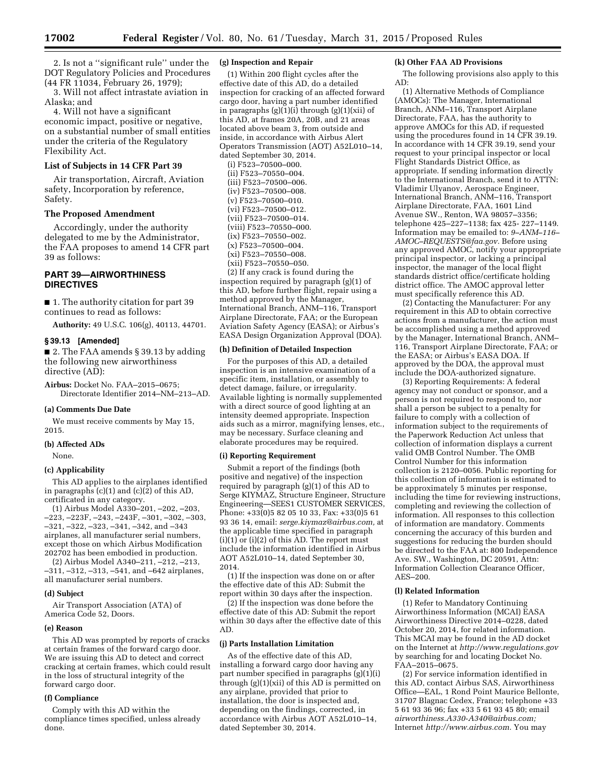2. Is not a ''significant rule'' under the DOT Regulatory Policies and Procedures (44 FR 11034, February 26, 1979);

3. Will not affect intrastate aviation in Alaska; and

4. Will not have a significant economic impact, positive or negative, on a substantial number of small entities under the criteria of the Regulatory Flexibility Act.

### **List of Subjects in 14 CFR Part 39**

Air transportation, Aircraft, Aviation safety, Incorporation by reference, Safety.

### **The Proposed Amendment**

Accordingly, under the authority delegated to me by the Administrator, the FAA proposes to amend 14 CFR part 39 as follows:

# **PART 39—AIRWORTHINESS DIRECTIVES**

■ 1. The authority citation for part 39 continues to read as follows:

**Authority:** 49 U.S.C. 106(g), 40113, 44701.

### **§ 39.13 [Amended]**

■ 2. The FAA amends § 39.13 by adding the following new airworthiness directive (AD):

**Airbus:** Docket No. FAA–2015–0675; Directorate Identifier 2014–NM–213–AD.

#### **(a) Comments Due Date**

We must receive comments by May 15, 2015.

#### **(b) Affected ADs**

None.

#### **(c) Applicability**

This AD applies to the airplanes identified in paragraphs  $(c)(1)$  and  $(c)(2)$  of this AD, certificated in any category.

(1) Airbus Model A330–201, –202, –203, –223, –223F, –243, –243F, –301, –302, –303, –321, –322, –323, –341, –342, and –343 airplanes, all manufacturer serial numbers, except those on which Airbus Modification 202702 has been embodied in production.

(2) Airbus Model A340–211, –212, –213, –311, –312, –313, –541, and –642 airplanes, all manufacturer serial numbers.

### **(d) Subject**

Air Transport Association (ATA) of America Code 52, Doors.

#### **(e) Reason**

This AD was prompted by reports of cracks at certain frames of the forward cargo door. We are issuing this AD to detect and correct cracking at certain frames, which could result in the loss of structural integrity of the forward cargo door.

#### **(f) Compliance**

Comply with this AD within the compliance times specified, unless already done.

### **(g) Inspection and Repair**

(1) Within 200 flight cycles after the effective date of this AD, do a detailed inspection for cracking of an affected forward cargo door, having a part number identified in paragraphs (g)(1)(i) through (g)(1)(xii) of this AD, at frames 20A, 20B, and 21 areas located above beam 3, from outside and inside, in accordance with Airbus Alert Operators Transmission (AOT) A52L010–14, dated September 30, 2014.

 $(i) F523 - 70500 - 000.$ (ii) F523–70550–004. (iii) F523–70500–006. (iv) F523–70500–008. (v) F523–70500–010. (vi) F523–70500–012. (vii) F523–70500–014. (viii) F523–70550–000. (ix) F523–70550–002. (x) F523–70500–004. (xi) F523–70550–008. (xii) F523–70550–050. (2) If any crack is found during the inspection required by paragraph (g)(1) of this AD, before further flight, repair using a method approved by the Manager, International Branch, ANM–116, Transport Airplane Directorate, FAA; or the European Aviation Safety Agency (EASA); or Airbus's EASA Design Organization Approval (DOA).

#### **(h) Definition of Detailed Inspection**

For the purposes of this AD, a detailed inspection is an intensive examination of a specific item, installation, or assembly to detect damage, failure, or irregularity. Available lighting is normally supplemented with a direct source of good lighting at an intensity deemed appropriate. Inspection aids such as a mirror, magnifying lenses, etc., may be necessary. Surface cleaning and elaborate procedures may be required.

#### **(i) Reporting Requirement**

Submit a report of the findings (both positive and negative) of the inspection required by paragraph (g)(1) of this AD to Serge KIYMAZ, Structure Engineer, Structure Engineering—SEES1 CUSTOMER SERVICES, Phone: +33(0)5 82 05 10 33, Fax: +33(0)5 61 93 36 14, email: *[serge.kiymaz@airbus.com,](mailto:serge.kiymaz@airbus.com)* at the applicable time specified in paragraph  $(i)(1)$  or  $(i)(2)$  of this AD. The report must include the information identified in Airbus AOT A52L010–14, dated September 30, 2014.

(1) If the inspection was done on or after the effective date of this AD: Submit the report within 30 days after the inspection.

(2) If the inspection was done before the effective date of this AD: Submit the report within 30 days after the effective date of this AD.

#### **(j) Parts Installation Limitation**

As of the effective date of this AD, installing a forward cargo door having any part number specified in paragraphs (g)(1)(i) through  $(g)(1)(xii)$  of this AD is permitted on any airplane, provided that prior to installation, the door is inspected and, depending on the findings, corrected, in accordance with Airbus AOT A52L010–14, dated September 30, 2014.

#### **(k) Other FAA AD Provisions**

The following provisions also apply to this AD:

(1) Alternative Methods of Compliance (AMOCs): The Manager, International Branch, ANM–116, Transport Airplane Directorate, FAA, has the authority to approve AMOCs for this AD, if requested using the procedures found in 14 CFR 39.19. In accordance with 14 CFR 39.19, send your request to your principal inspector or local Flight Standards District Office, as appropriate. If sending information directly to the International Branch, send it to ATTN: Vladimir Ulyanov, Aerospace Engineer, International Branch, ANM–116, Transport Airplane Directorate, FAA, 1601 Lind Avenue SW., Renton, WA 98057–3356; telephone 425–227–1138; fax 425- 227–1149. Information may be emailed to: *[9–ANM–116–](mailto:9-ANM-116-AMOC-REQUESTS@faa.gov) [AMOC–REQUESTS@faa.gov.](mailto:9-ANM-116-AMOC-REQUESTS@faa.gov)* Before using any approved AMOC, notify your appropriate principal inspector, or lacking a principal inspector, the manager of the local flight standards district office/certificate holding district office. The AMOC approval letter must specifically reference this AD.

(2) Contacting the Manufacturer: For any requirement in this AD to obtain corrective actions from a manufacturer, the action must be accomplished using a method approved by the Manager, International Branch, ANM– 116, Transport Airplane Directorate, FAA; or the EASA; or Airbus's EASA DOA. If approved by the DOA, the approval must include the DOA-authorized signature.

(3) Reporting Requirements: A federal agency may not conduct or sponsor, and a person is not required to respond to, nor shall a person be subject to a penalty for failure to comply with a collection of information subject to the requirements of the Paperwork Reduction Act unless that collection of information displays a current valid OMB Control Number. The OMB Control Number for this information collection is 2120–0056. Public reporting for this collection of information is estimated to be approximately 5 minutes per response, including the time for reviewing instructions, completing and reviewing the collection of information. All responses to this collection of information are mandatory. Comments concerning the accuracy of this burden and suggestions for reducing the burden should be directed to the FAA at: 800 Independence Ave. SW., Washington, DC 20591, Attn: Information Collection Clearance Officer, AES–200.

# **(l) Related Information**

(1) Refer to Mandatory Continuing Airworthiness Information (MCAI) EASA Airworthiness Directive 2014–0228, dated October 20, 2014, for related information. This MCAI may be found in the AD docket on the Internet at *<http://www.regulations.gov>*  by searching for and locating Docket No. FAA–2015–0675.

(2) For service information identified in this AD, contact Airbus SAS, Airworthiness Office—EAL, 1 Rond Point Maurice Bellonte, 31707 Blagnac Cedex, France; telephone +33 5 61 93 36 96; fax +33 5 61 93 45 80; email *[airworthiness.A330-A340@airbus.com;](mailto:airworthiness.A330-A340@airbus.com)*  Internet *[http://www.airbus.com.](http://www.airbus.com)* You may